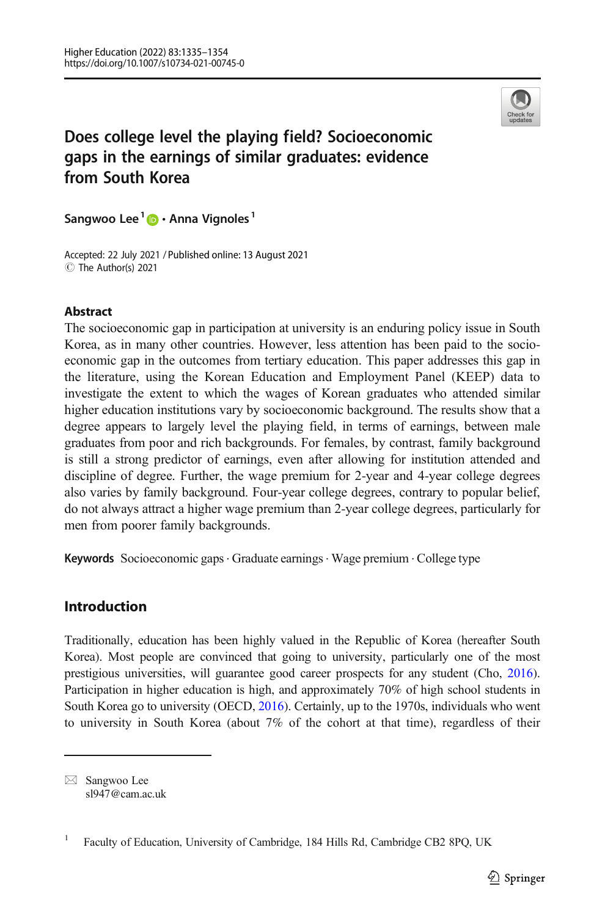

# Does college level the playing field? Socioeconomic gaps in the earnings of similar graduates: evidence from South Korea

Sangwoo Lee  $1 \bullet \cdot$  Anna Vignoles  $1$ 

Accepted: 22 July 2021 / Published online: 13 August 2021 C The Author(s) 2021

## Abstract

The socioeconomic gap in participation at university is an enduring policy issue in South Korea, as in many other countries. However, less attention has been paid to the socioeconomic gap in the outcomes from tertiary education. This paper addresses this gap in the literature, using the Korean Education and Employment Panel (KEEP) data to investigate the extent to which the wages of Korean graduates who attended similar higher education institutions vary by socioeconomic background. The results show that a degree appears to largely level the playing field, in terms of earnings, between male graduates from poor and rich backgrounds. For females, by contrast, family background is still a strong predictor of earnings, even after allowing for institution attended and discipline of degree. Further, the wage premium for 2-year and 4-year college degrees also varies by family background. Four-year college degrees, contrary to popular belief, do not always attract a higher wage premium than 2-year college degrees, particularly for men from poorer family backgrounds.

Keywords Socioeconomic gaps · Graduate earnings · Wage premium · College type

## Introduction

Traditionally, education has been highly valued in the Republic of Korea (hereafter South Korea). Most people are convinced that going to university, particularly one of the most prestigious universities, will guarantee good career prospects for any student (Cho, [2016](#page-17-0)). Participation in higher education is high, and approximately 70% of high school students in South Korea go to university (OECD, [2016](#page-19-0)). Certainly, up to the 1970s, individuals who went to university in South Korea (about 7% of the cohort at that time), regardless of their

 $\boxtimes$  Sangwoo Lee [sl947@cam.ac.uk](mailto:sl947@cam.ac.uk)

<sup>&</sup>lt;sup>1</sup> Faculty of Education, University of Cambridge, 184 Hills Rd, Cambridge CB2 8PQ, UK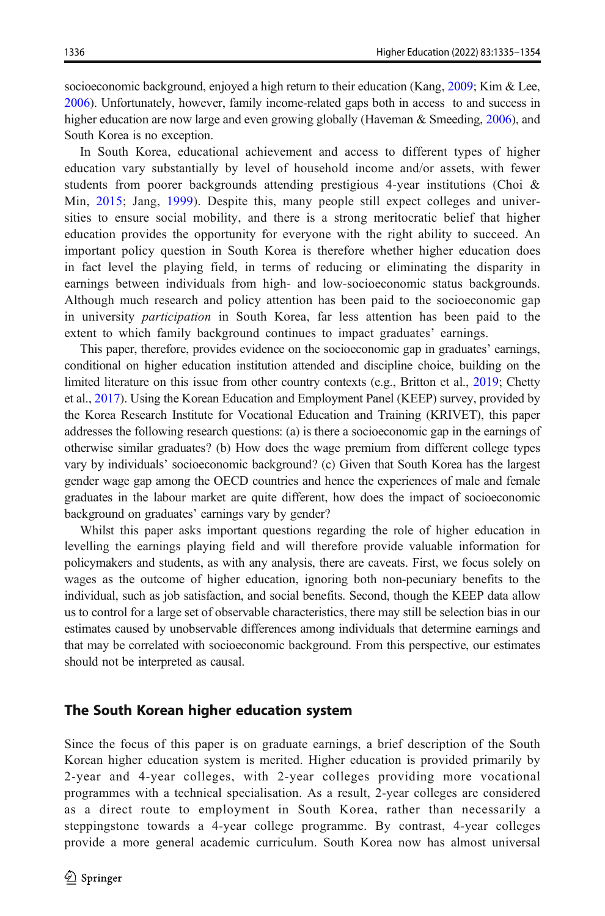socioeconomic background, enjoyed a high return to their education (Kang, [2009;](#page-18-0) Kim & Lee, [2006](#page-18-0)). Unfortunately, however, family income-related gaps both in access to and success in higher education are now large and even growing globally (Haveman & Smeeding, [2006\)](#page-18-0), and South Korea is no exception.

In South Korea, educational achievement and access to different types of higher education vary substantially by level of household income and/or assets, with fewer students from poorer backgrounds attending prestigious 4-year institutions (Choi & Min, [2015](#page-18-0); Jang, [1999](#page-18-0)). Despite this, many people still expect colleges and universities to ensure social mobility, and there is a strong meritocratic belief that higher education provides the opportunity for everyone with the right ability to succeed. An important policy question in South Korea is therefore whether higher education does in fact level the playing field, in terms of reducing or eliminating the disparity in earnings between individuals from high- and low-socioeconomic status backgrounds. Although much research and policy attention has been paid to the socioeconomic gap in university participation in South Korea, far less attention has been paid to the extent to which family background continues to impact graduates' earnings.

This paper, therefore, provides evidence on the socioeconomic gap in graduates' earnings, conditional on higher education institution attended and discipline choice, building on the limited literature on this issue from other country contexts (e.g., Britton et al., [2019](#page-17-0); Chetty et al., [2017](#page-17-0)). Using the Korean Education and Employment Panel (KEEP) survey, provided by the Korea Research Institute for Vocational Education and Training (KRIVET), this paper addresses the following research questions: (a) is there a socioeconomic gap in the earnings of otherwise similar graduates? (b) How does the wage premium from different college types vary by individuals' socioeconomic background? (c) Given that South Korea has the largest gender wage gap among the OECD countries and hence the experiences of male and female graduates in the labour market are quite different, how does the impact of socioeconomic background on graduates' earnings vary by gender?

Whilst this paper asks important questions regarding the role of higher education in levelling the earnings playing field and will therefore provide valuable information for policymakers and students, as with any analysis, there are caveats. First, we focus solely on wages as the outcome of higher education, ignoring both non-pecuniary benefits to the individual, such as job satisfaction, and social benefits. Second, though the KEEP data allow us to control for a large set of observable characteristics, there may still be selection bias in our estimates caused by unobservable differences among individuals that determine earnings and that may be correlated with socioeconomic background. From this perspective, our estimates should not be interpreted as causal.

## The South Korean higher education system

Since the focus of this paper is on graduate earnings, a brief description of the South Korean higher education system is merited. Higher education is provided primarily by 2-year and 4-year colleges, with 2-year colleges providing more vocational programmes with a technical specialisation. As a result, 2-year colleges are considered as a direct route to employment in South Korea, rather than necessarily a steppingstone towards a 4-year college programme. By contrast, 4-year colleges provide a more general academic curriculum. South Korea now has almost universal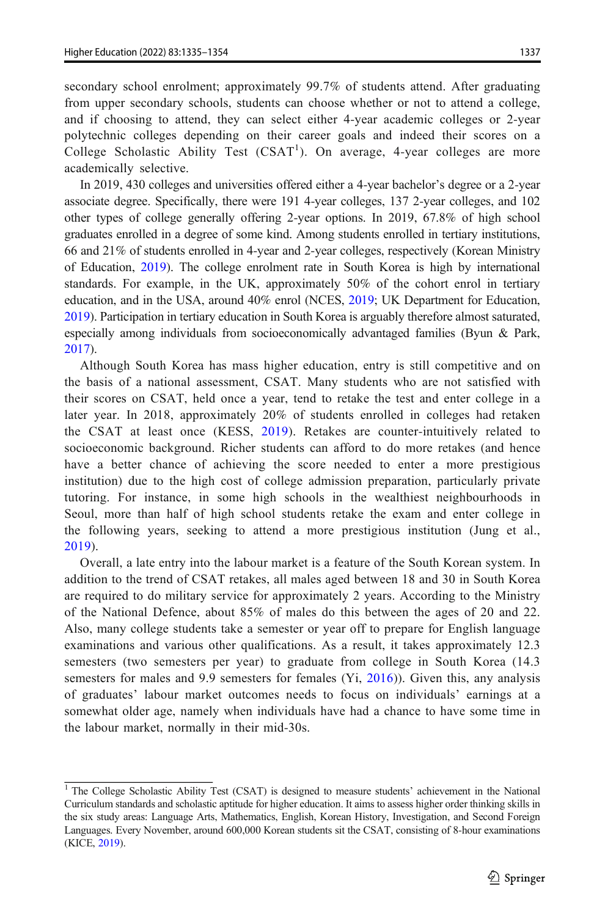secondary school enrolment; approximately 99.7% of students attend. After graduating from upper secondary schools, students can choose whether or not to attend a college, and if choosing to attend, they can select either 4-year academic colleges or 2-year polytechnic colleges depending on their career goals and indeed their scores on a College Scholastic Ability Test  $(CSAT<sup>1</sup>)$ . On average, 4-year colleges are more academically selective.

In 2019, 430 colleges and universities offered either a 4-year bachelor's degree or a 2-year associate degree. Specifically, there were 191 4-year colleges, 137 2-year colleges, and 102 other types of college generally offering 2-year options. In 2019, 67.8% of high school graduates enrolled in a degree of some kind. Among students enrolled in tertiary institutions, 66 and 21% of students enrolled in 4-year and 2-year colleges, respectively (Korean Ministry of Education, [2019\)](#page-18-0). The college enrolment rate in South Korea is high by international standards. For example, in the UK, approximately 50% of the cohort enrol in tertiary education, and in the USA, around 40% enrol (NCES, [2019;](#page-19-0) UK Department for Education, [2019](#page-19-0)). Participation in tertiary education in South Korea is arguably therefore almost saturated, especially among individuals from socioeconomically advantaged families (Byun & Park, [2017](#page-17-0)).

Although South Korea has mass higher education, entry is still competitive and on the basis of a national assessment, CSAT. Many students who are not satisfied with their scores on CSAT, held once a year, tend to retake the test and enter college in a later year. In 2018, approximately 20% of students enrolled in colleges had retaken the CSAT at least once (KESS, [2019\)](#page-18-0). Retakes are counter-intuitively related to socioeconomic background. Richer students can afford to do more retakes (and hence have a better chance of achieving the score needed to enter a more prestigious institution) due to the high cost of college admission preparation, particularly private tutoring. For instance, in some high schools in the wealthiest neighbourhoods in Seoul, more than half of high school students retake the exam and enter college in the following years, seeking to attend a more prestigious institution (Jung et al., [2019](#page-18-0)).

Overall, a late entry into the labour market is a feature of the South Korean system. In addition to the trend of CSAT retakes, all males aged between 18 and 30 in South Korea are required to do military service for approximately 2 years. According to the Ministry of the National Defence, about 85% of males do this between the ages of 20 and 22. Also, many college students take a semester or year off to prepare for English language examinations and various other qualifications. As a result, it takes approximately 12.3 semesters (two semesters per year) to graduate from college in South Korea (14.3 semesters for males and 9.9 semesters for females (Yi, [2016\)](#page-19-0)). Given this, any analysis of graduates' labour market outcomes needs to focus on individuals' earnings at a somewhat older age, namely when individuals have had a chance to have some time in the labour market, normally in their mid-30s.

<sup>&</sup>lt;sup>1</sup> The College Scholastic Ability Test (CSAT) is designed to measure students' achievement in the National Curriculum standards and scholastic aptitude for higher education. It aims to assess higher order thinking skills in the six study areas: Language Arts, Mathematics, English, Korean History, Investigation, and Second Foreign Languages. Every November, around 600,000 Korean students sit the CSAT, consisting of 8-hour examinations (KICE, [2019\)](#page-18-0).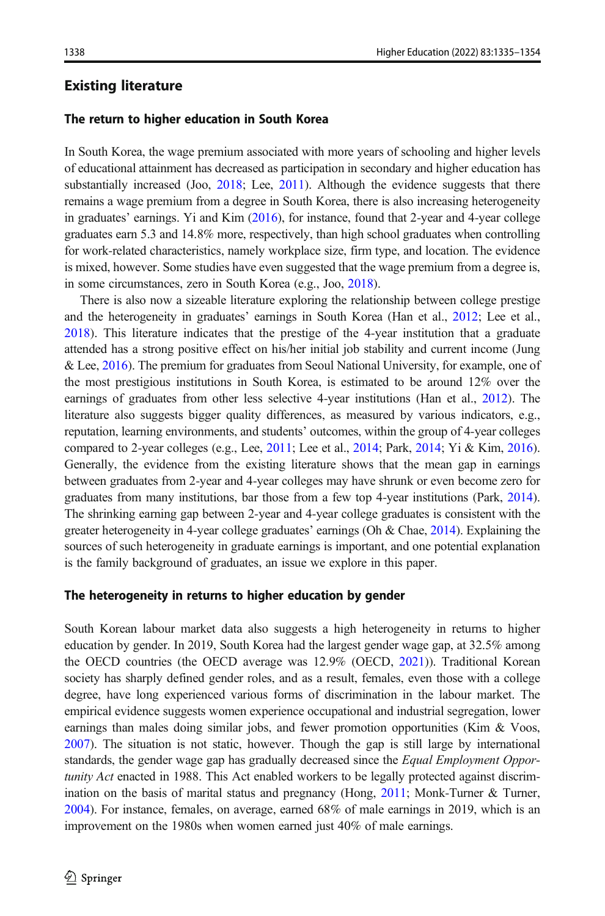## Existing literature

## The return to higher education in South Korea

In South Korea, the wage premium associated with more years of schooling and higher levels of educational attainment has decreased as participation in secondary and higher education has substantially increased (Joo, [2018](#page-18-0); Lee, [2011](#page-18-0)). Although the evidence suggests that there remains a wage premium from a degree in South Korea, there is also increasing heterogeneity in graduates' earnings. Yi and Kim [\(2016\)](#page-19-0), for instance, found that 2-year and 4-year college graduates earn 5.3 and 14.8% more, respectively, than high school graduates when controlling for work-related characteristics, namely workplace size, firm type, and location. The evidence is mixed, however. Some studies have even suggested that the wage premium from a degree is, in some circumstances, zero in South Korea (e.g., Joo, [2018](#page-18-0)).

There is also now a sizeable literature exploring the relationship between college prestige and the heterogeneity in graduates' earnings in South Korea (Han et al., [2012](#page-18-0); Lee et al., [2018](#page-18-0)). This literature indicates that the prestige of the 4-year institution that a graduate attended has a strong positive effect on his/her initial job stability and current income (Jung & Lee, [2016\)](#page-18-0). The premium for graduates from Seoul National University, for example, one of the most prestigious institutions in South Korea, is estimated to be around 12% over the earnings of graduates from other less selective 4-year institutions (Han et al., [2012\)](#page-18-0). The literature also suggests bigger quality differences, as measured by various indicators, e.g., reputation, learning environments, and students' outcomes, within the group of 4-year colleges compared to 2-year colleges (e.g., Lee, [2011](#page-18-0); Lee et al., [2014](#page-18-0); Park, [2014;](#page-19-0) Yi & Kim, [2016](#page-19-0)). Generally, the evidence from the existing literature shows that the mean gap in earnings between graduates from 2-year and 4-year colleges may have shrunk or even become zero for graduates from many institutions, bar those from a few top 4-year institutions (Park, [2014](#page-19-0)). The shrinking earning gap between 2-year and 4-year college graduates is consistent with the greater heterogeneity in 4-year college graduates' earnings (Oh & Chae, [2014](#page-19-0)). Explaining the sources of such heterogeneity in graduate earnings is important, and one potential explanation is the family background of graduates, an issue we explore in this paper.

#### The heterogeneity in returns to higher education by gender

South Korean labour market data also suggests a high heterogeneity in returns to higher education by gender. In 2019, South Korea had the largest gender wage gap, at 32.5% among the OECD countries (the OECD average was 12.9% (OECD, [2021\)](#page-19-0)). Traditional Korean society has sharply defined gender roles, and as a result, females, even those with a college degree, have long experienced various forms of discrimination in the labour market. The empirical evidence suggests women experience occupational and industrial segregation, lower earnings than males doing similar jobs, and fewer promotion opportunities (Kim  $& V$ oos, [2007](#page-18-0)). The situation is not static, however. Though the gap is still large by international standards, the gender wage gap has gradually decreased since the *Equal Employment Oppor*tunity Act enacted in 1988. This Act enabled workers to be legally protected against discrim-ination on the basis of marital status and pregnancy (Hong, [2011](#page-18-0); Monk-Turner & Turner, [2004](#page-18-0)). For instance, females, on average, earned 68% of male earnings in 2019, which is an improvement on the 1980s when women earned just 40% of male earnings.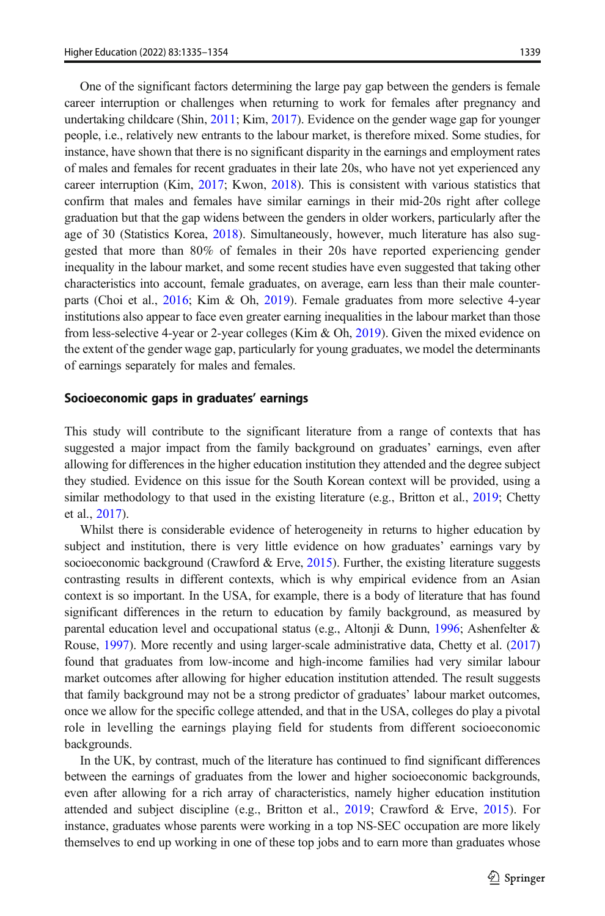One of the significant factors determining the large pay gap between the genders is female career interruption or challenges when returning to work for females after pregnancy and undertaking childcare (Shin, [2011](#page-19-0); Kim, [2017\)](#page-18-0). Evidence on the gender wage gap for younger people, i.e., relatively new entrants to the labour market, is therefore mixed. Some studies, for instance, have shown that there is no significant disparity in the earnings and employment rates of males and females for recent graduates in their late 20s, who have not yet experienced any career interruption (Kim, [2017;](#page-18-0) Kwon, [2018\)](#page-18-0). This is consistent with various statistics that confirm that males and females have similar earnings in their mid-20s right after college graduation but that the gap widens between the genders in older workers, particularly after the age of 30 (Statistics Korea, [2018](#page-19-0)). Simultaneously, however, much literature has also suggested that more than 80% of females in their 20s have reported experiencing gender inequality in the labour market, and some recent studies have even suggested that taking other characteristics into account, female graduates, on average, earn less than their male counterparts (Choi et al., [2016;](#page-18-0) Kim & Oh, [2019\)](#page-18-0). Female graduates from more selective 4-year institutions also appear to face even greater earning inequalities in the labour market than those from less-selective 4-year or 2-year colleges (Kim & Oh, [2019\)](#page-18-0). Given the mixed evidence on the extent of the gender wage gap, particularly for young graduates, we model the determinants of earnings separately for males and females.

#### Socioeconomic gaps in graduates' earnings

This study will contribute to the significant literature from a range of contexts that has suggested a major impact from the family background on graduates' earnings, even after allowing for differences in the higher education institution they attended and the degree subject they studied. Evidence on this issue for the South Korean context will be provided, using a similar methodology to that used in the existing literature (e.g., Britton et al., [2019](#page-17-0); Chetty et al., [2017](#page-17-0)).

Whilst there is considerable evidence of heterogeneity in returns to higher education by subject and institution, there is very little evidence on how graduates' earnings vary by socioeconomic background (Crawford & Erve, [2015\)](#page-18-0). Further, the existing literature suggests contrasting results in different contexts, which is why empirical evidence from an Asian context is so important. In the USA, for example, there is a body of literature that has found significant differences in the return to education by family background, as measured by parental education level and occupational status (e.g., Altonji & Dunn, [1996](#page-17-0); Ashenfelter & Rouse, [1997\)](#page-17-0). More recently and using larger-scale administrative data, Chetty et al. [\(2017\)](#page-17-0) found that graduates from low-income and high-income families had very similar labour market outcomes after allowing for higher education institution attended. The result suggests that family background may not be a strong predictor of graduates' labour market outcomes, once we allow for the specific college attended, and that in the USA, colleges do play a pivotal role in levelling the earnings playing field for students from different socioeconomic backgrounds.

In the UK, by contrast, much of the literature has continued to find significant differences between the earnings of graduates from the lower and higher socioeconomic backgrounds, even after allowing for a rich array of characteristics, namely higher education institution attended and subject discipline (e.g., Britton et al., [2019](#page-17-0); Crawford & Erve, [2015](#page-18-0)). For instance, graduates whose parents were working in a top NS-SEC occupation are more likely themselves to end up working in one of these top jobs and to earn more than graduates whose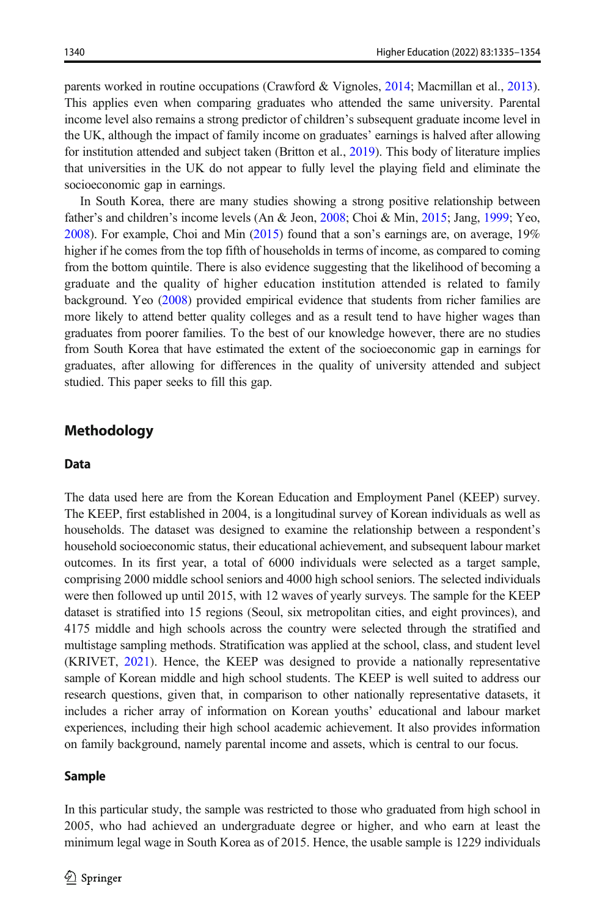parents worked in routine occupations (Crawford & Vignoles, [2014](#page-18-0); Macmillan et al., [2013](#page-18-0)). This applies even when comparing graduates who attended the same university. Parental income level also remains a strong predictor of children's subsequent graduate income level in the UK, although the impact of family income on graduates' earnings is halved after allowing for institution attended and subject taken (Britton et al., [2019](#page-17-0)). This body of literature implies that universities in the UK do not appear to fully level the playing field and eliminate the socioeconomic gap in earnings.

In South Korea, there are many studies showing a strong positive relationship between father's and children's income levels (An & Jeon, [2008](#page-17-0); Choi & Min, [2015;](#page-18-0) Jang, [1999;](#page-18-0) Yeo, [2008](#page-19-0)). For example, Choi and Min [\(2015\)](#page-18-0) found that a son's earnings are, on average, 19% higher if he comes from the top fifth of households in terms of income, as compared to coming from the bottom quintile. There is also evidence suggesting that the likelihood of becoming a graduate and the quality of higher education institution attended is related to family background. Yeo ([2008](#page-19-0)) provided empirical evidence that students from richer families are more likely to attend better quality colleges and as a result tend to have higher wages than graduates from poorer families. To the best of our knowledge however, there are no studies from South Korea that have estimated the extent of the socioeconomic gap in earnings for graduates, after allowing for differences in the quality of university attended and subject studied. This paper seeks to fill this gap.

## Methodology

## Data

The data used here are from the Korean Education and Employment Panel (KEEP) survey. The KEEP, first established in 2004, is a longitudinal survey of Korean individuals as well as households. The dataset was designed to examine the relationship between a respondent's household socioeconomic status, their educational achievement, and subsequent labour market outcomes. In its first year, a total of 6000 individuals were selected as a target sample, comprising 2000 middle school seniors and 4000 high school seniors. The selected individuals were then followed up until 2015, with 12 waves of yearly surveys. The sample for the KEEP dataset is stratified into 15 regions (Seoul, six metropolitan cities, and eight provinces), and 4175 middle and high schools across the country were selected through the stratified and multistage sampling methods. Stratification was applied at the school, class, and student level (KRIVET, [2021](#page-18-0)). Hence, the KEEP was designed to provide a nationally representative sample of Korean middle and high school students. The KEEP is well suited to address our research questions, given that, in comparison to other nationally representative datasets, it includes a richer array of information on Korean youths' educational and labour market experiences, including their high school academic achievement. It also provides information on family background, namely parental income and assets, which is central to our focus.

## Sample

In this particular study, the sample was restricted to those who graduated from high school in 2005, who had achieved an undergraduate degree or higher, and who earn at least the minimum legal wage in South Korea as of 2015. Hence, the usable sample is 1229 individuals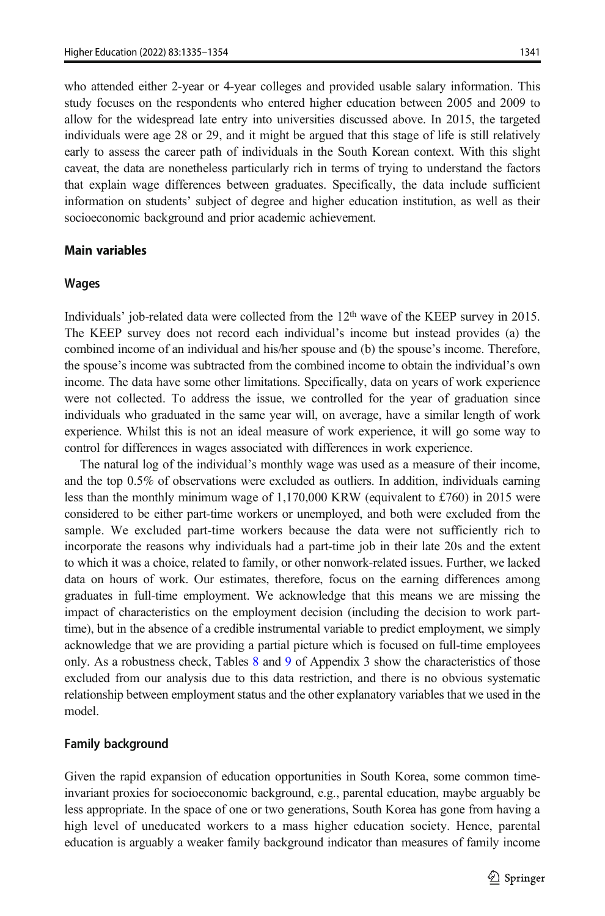who attended either 2-year or 4-year colleges and provided usable salary information. This study focuses on the respondents who entered higher education between 2005 and 2009 to allow for the widespread late entry into universities discussed above. In 2015, the targeted individuals were age 28 or 29, and it might be argued that this stage of life is still relatively early to assess the career path of individuals in the South Korean context. With this slight caveat, the data are nonetheless particularly rich in terms of trying to understand the factors that explain wage differences between graduates. Specifically, the data include sufficient information on students' subject of degree and higher education institution, as well as their socioeconomic background and prior academic achievement.

## Main variables

#### Wages

Individuals' job-related data were collected from the 12<sup>th</sup> wave of the KEEP survey in 2015. The KEEP survey does not record each individual's income but instead provides (a) the combined income of an individual and his/her spouse and (b) the spouse's income. Therefore, the spouse's income was subtracted from the combined income to obtain the individual's own income. The data have some other limitations. Specifically, data on years of work experience were not collected. To address the issue, we controlled for the year of graduation since individuals who graduated in the same year will, on average, have a similar length of work experience. Whilst this is not an ideal measure of work experience, it will go some way to control for differences in wages associated with differences in work experience.

The natural log of the individual's monthly wage was used as a measure of their income, and the top 0.5% of observations were excluded as outliers. In addition, individuals earning less than the monthly minimum wage of 1,170,000 KRW (equivalent to £760) in 2015 were considered to be either part-time workers or unemployed, and both were excluded from the sample. We excluded part-time workers because the data were not sufficiently rich to incorporate the reasons why individuals had a part-time job in their late 20s and the extent to which it was a choice, related to family, or other nonwork-related issues. Further, we lacked data on hours of work. Our estimates, therefore, focus on the earning differences among graduates in full-time employment. We acknowledge that this means we are missing the impact of characteristics on the employment decision (including the decision to work parttime), but in the absence of a credible instrumental variable to predict employment, we simply acknowledge that we are providing a partial picture which is focused on full-time employees only. As a robustness check, Tables [8](#page-15-0) and [9](#page-15-0) of Appendix 3 show the characteristics of those excluded from our analysis due to this data restriction, and there is no obvious systematic relationship between employment status and the other explanatory variables that we used in the model.

### Family background

Given the rapid expansion of education opportunities in South Korea, some common timeinvariant proxies for socioeconomic background, e.g., parental education, maybe arguably be less appropriate. In the space of one or two generations, South Korea has gone from having a high level of uneducated workers to a mass higher education society. Hence, parental education is arguably a weaker family background indicator than measures of family income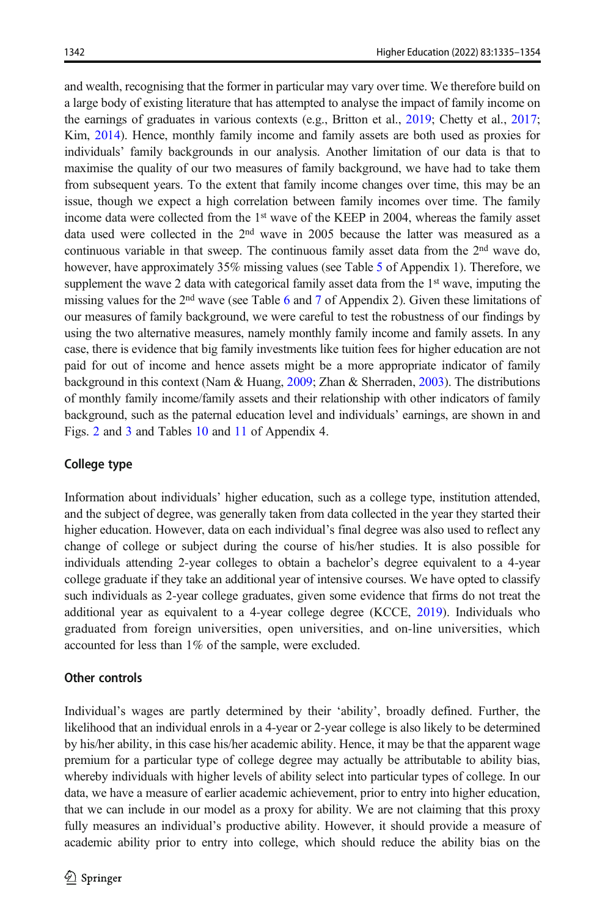and wealth, recognising that the former in particular may vary over time. We therefore build on a large body of existing literature that has attempted to analyse the impact of family income on the earnings of graduates in various contexts (e.g., Britton et al., [2019;](#page-17-0) Chetty et al., [2017](#page-17-0); Kim, [2014](#page-18-0)). Hence, monthly family income and family assets are both used as proxies for individuals' family backgrounds in our analysis. Another limitation of our data is that to maximise the quality of our two measures of family background, we have had to take them from subsequent years. To the extent that family income changes over time, this may be an issue, though we expect a high correlation between family incomes over time. The family income data were collected from the 1st wave of the KEEP in 2004, whereas the family asset data used were collected in the 2nd wave in 2005 because the latter was measured as a continuous variable in that sweep. The continuous family asset data from the 2<sup>nd</sup> wave do, however, have approximately 3[5](#page-14-0)% missing values (see Table 5 of Appendix 1). Therefore, we supplement the wave 2 data with categorical family asset data from the  $1<sup>st</sup>$  wave, imputing the missing values for the  $2<sup>nd</sup>$  wave (see Table [6](#page-15-0) and [7](#page-15-0) of Appendix 2). Given these limitations of our measures of family background, we were careful to test the robustness of our findings by using the two alternative measures, namely monthly family income and family assets. In any case, there is evidence that big family investments like tuition fees for higher education are not paid for out of income and hence assets might be a more appropriate indicator of family background in this context (Nam & Huang, [2009](#page-19-0); Zhan & Sherraden, [2003\)](#page-19-0). The distributions of monthly family income/family assets and their relationship with other indicators of family background, such as the paternal education level and individuals' earnings, are shown in and Figs. [2](#page-16-0) and [3](#page-16-0) and Tables [10](#page-16-0) and [11](#page-17-0) of Appendix 4.

## College type

Information about individuals' higher education, such as a college type, institution attended, and the subject of degree, was generally taken from data collected in the year they started their higher education. However, data on each individual's final degree was also used to reflect any change of college or subject during the course of his/her studies. It is also possible for individuals attending 2-year colleges to obtain a bachelor's degree equivalent to a 4-year college graduate if they take an additional year of intensive courses. We have opted to classify such individuals as 2-year college graduates, given some evidence that firms do not treat the additional year as equivalent to a 4-year college degree (KCCE, [2019\)](#page-18-0). Individuals who graduated from foreign universities, open universities, and on-line universities, which accounted for less than 1% of the sample, were excluded.

## Other controls

Individual's wages are partly determined by their 'ability', broadly defined. Further, the likelihood that an individual enrols in a 4-year or 2-year college is also likely to be determined by his/her ability, in this case his/her academic ability. Hence, it may be that the apparent wage premium for a particular type of college degree may actually be attributable to ability bias, whereby individuals with higher levels of ability select into particular types of college. In our data, we have a measure of earlier academic achievement, prior to entry into higher education, that we can include in our model as a proxy for ability. We are not claiming that this proxy fully measures an individual's productive ability. However, it should provide a measure of academic ability prior to entry into college, which should reduce the ability bias on the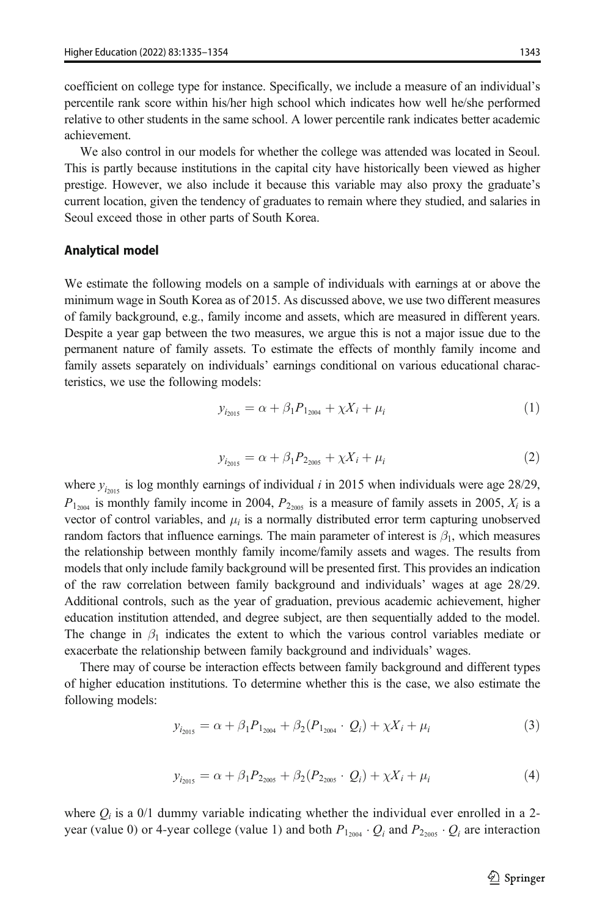<span id="page-8-0"></span>coefficient on college type for instance. Specifically, we include a measure of an individual's percentile rank score within his/her high school which indicates how well he/she performed relative to other students in the same school. A lower percentile rank indicates better academic achievement.

We also control in our models for whether the college was attended was located in Seoul. This is partly because institutions in the capital city have historically been viewed as higher prestige. However, we also include it because this variable may also proxy the graduate's current location, given the tendency of graduates to remain where they studied, and salaries in Seoul exceed those in other parts of South Korea.

### Analytical model

We estimate the following models on a sample of individuals with earnings at or above the minimum wage in South Korea as of 2015. As discussed above, we use two different measures of family background, e.g., family income and assets, which are measured in different years. Despite a year gap between the two measures, we argue this is not a major issue due to the permanent nature of family assets. To estimate the effects of monthly family income and family assets separately on individuals' earnings conditional on various educational characteristics, we use the following models:

$$
y_{i_{2015}} = \alpha + \beta_1 P_{1_{2004}} + \chi X_i + \mu_i \tag{1}
$$

$$
y_{i_{2015}} = \alpha + \beta_1 P_{2_{2005}} + \chi X_i + \mu_i \tag{2}
$$

where  $y_{i_{2015}}$  is log monthly earnings of individual i in 2015 when individuals were age 28/29,  $P_{1_{2004}}$  is monthly family income in 2004,  $P_{2_{2005}}$  is a measure of family assets in 2005,  $X_i$  is a vector of control variables, and  $\mu_i$  is a normally distributed error term capturing unobserved random factors that influence earnings. The main parameter of interest is  $\beta_1$ , which measures the relationship between monthly family income/family assets and wages. The results from models that only include family background will be presented first. This provides an indication of the raw correlation between family background and individuals' wages at age 28/29. Additional controls, such as the year of graduation, previous academic achievement, higher education institution attended, and degree subject, are then sequentially added to the model. The change in  $\beta_1$  indicates the extent to which the various control variables mediate or exacerbate the relationship between family background and individuals' wages.

There may of course be interaction effects between family background and different types of higher education institutions. To determine whether this is the case, we also estimate the following models:

$$
y_{i_{2015}} = \alpha + \beta_1 P_{1_{2004}} + \beta_2 (P_{1_{2004}} \cdot Q_i) + \chi X_i + \mu_i \tag{3}
$$

$$
y_{i_{2015}} = \alpha + \beta_1 P_{2_{2005}} + \beta_2 (P_{2_{2005}} \cdot Q_i) + \chi X_i + \mu_i \tag{4}
$$

where  $Q_i$  is a 0/1 dummy variable indicating whether the individual ever enrolled in a 2year (value 0) or 4-year college (value 1) and both  $P_{1_{2004}}$   $\cdot$  Q<sub>i</sub> and  $P_{2_{2005}}$   $\cdot$  Q<sub>i</sub> are interaction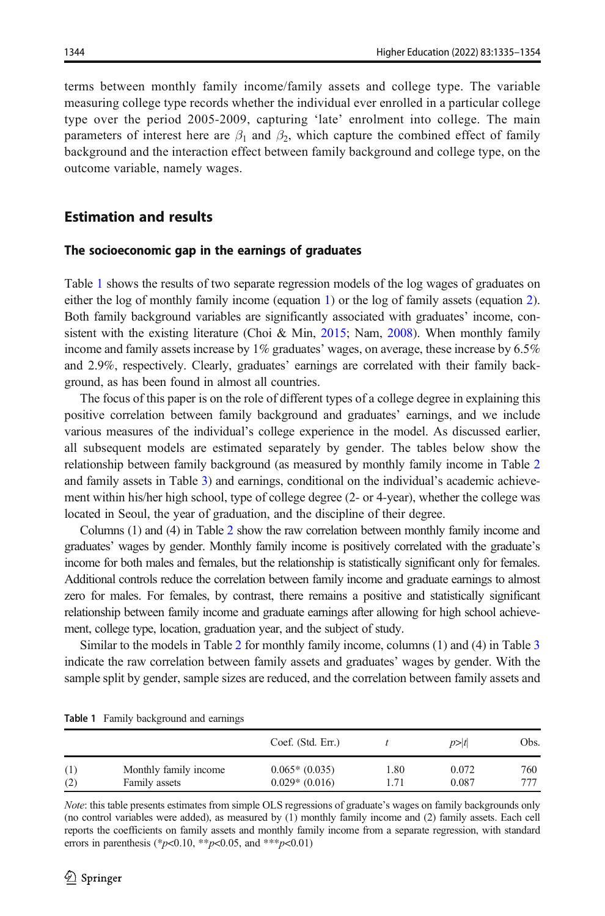<span id="page-9-0"></span>terms between monthly family income/family assets and college type. The variable measuring college type records whether the individual ever enrolled in a particular college type over the period 2005-2009, capturing 'late' enrolment into college. The main parameters of interest here are  $\beta_1$  and  $\beta_2$ , which capture the combined effect of family background and the interaction effect between family background and college type, on the outcome variable, namely wages.

## Estimation and results

#### The socioeconomic gap in the earnings of graduates

Table 1 shows the results of two separate regression models of the log wages of graduates on either the log of monthly family income (equation [1](#page-8-0)) or the log of family assets (equation [2](#page-8-0)). Both family background variables are significantly associated with graduates' income, con-sistent with the existing literature (Choi & Min, [2015;](#page-18-0) Nam, [2008](#page-19-0)). When monthly family income and family assets increase by 1% graduates' wages, on average, these increase by 6.5% and 2.9%, respectively. Clearly, graduates' earnings are correlated with their family background, as has been found in almost all countries.

The focus of this paper is on the role of different types of a college degree in explaining this positive correlation between family background and graduates' earnings, and we include various measures of the individual's college experience in the model. As discussed earlier, all subsequent models are estimated separately by gender. The tables below show the relationship between family background (as measured by monthly family income in Table [2](#page-10-0) and family assets in Table [3](#page-10-0)) and earnings, conditional on the individual's academic achievement within his/her high school, type of college degree (2- or 4-year), whether the college was located in Seoul, the year of graduation, and the discipline of their degree.

Columns (1) and (4) in Table [2](#page-10-0) show the raw correlation between monthly family income and graduates' wages by gender. Monthly family income is positively correlated with the graduate's income for both males and females, but the relationship is statistically significant only for females. Additional controls reduce the correlation between family income and graduate earnings to almost zero for males. For females, by contrast, there remains a positive and statistically significant relationship between family income and graduate earnings after allowing for high school achievement, college type, location, graduation year, and the subject of study.

Similar to the models in Table [2](#page-10-0) for monthly family income, columns (1) and (4) in Table [3](#page-10-0) indicate the raw correlation between family assets and graduates' wages by gender. With the sample split by gender, sample sizes are reduced, and the correlation between family assets and

|     |                       | Coef. (Std. Err.) |      | p> t  | Obs. |
|-----|-----------------------|-------------------|------|-------|------|
| (1) | Monthly family income | $0.065*(0.035)$   | 1.80 | 0.072 | 760  |
| (2) | Family assets         | $0.029*(0.016)$   | 1.71 | 0.087 | 777  |

Table 1 Family background and earnings

Note: this table presents estimates from simple OLS regressions of graduate's wages on family backgrounds only (no control variables were added), as measured by (1) monthly family income and (2) family assets. Each cell reports the coefficients on family assets and monthly family income from a separate regression, with standard errors in parenthesis (\*p<0.10, \*\*p<0.05, and \*\*\*p<0.01)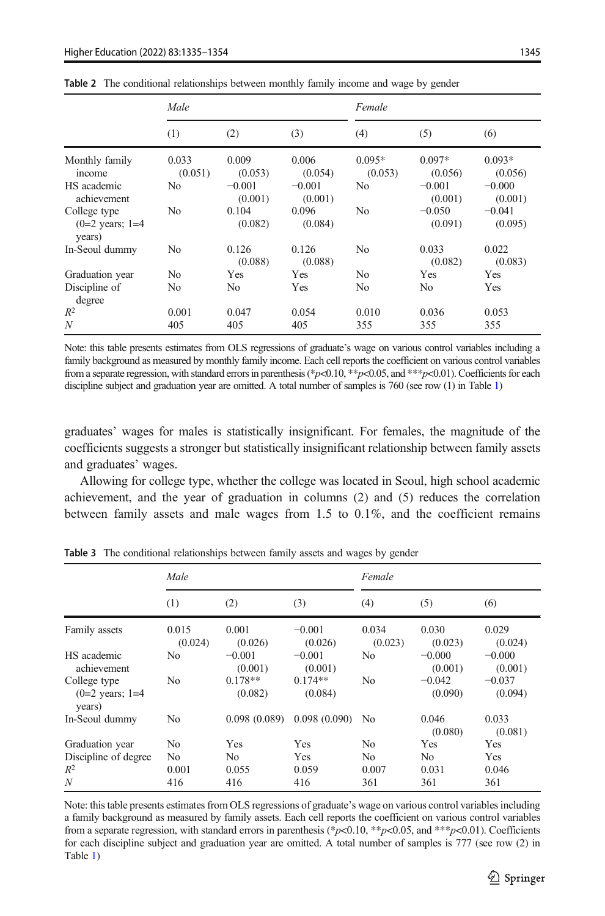|                                                      | Male             |                     |                     | Female              |                     |                     |  |
|------------------------------------------------------|------------------|---------------------|---------------------|---------------------|---------------------|---------------------|--|
|                                                      | (1)              | (2)                 | (3)                 | (4)                 | (5)                 | (6)                 |  |
| Monthly family<br>income                             | 0.033<br>(0.051) | 0.009<br>(0.053)    | 0.006<br>(0.054)    | $0.095*$<br>(0.053) | $0.097*$<br>(0.056) | $0.093*$<br>(0.056) |  |
| HS academic<br>achievement                           | No               | $-0.001$<br>(0.001) | $-0.001$<br>(0.001) | No                  | $-0.001$<br>(0.001) | $-0.000$<br>(0.001) |  |
| College type<br>$(0=2 \text{ years}; 1=4)$<br>years) | No               | 0.104<br>(0.082)    | 0.096<br>(0.084)    | N <sub>0</sub>      | $-0.050$<br>(0.091) | $-0.041$<br>(0.095) |  |
| In-Seoul dummy                                       | No               | 0.126<br>(0.088)    | 0.126<br>(0.088)    | N <sub>0</sub>      | 0.033<br>(0.082)    | 0.022<br>(0.083)    |  |
| Graduation year                                      | N <sub>0</sub>   | Yes                 | Yes                 | N <sub>0</sub>      | Yes                 | Yes                 |  |
| Discipline of<br>degree                              | No               | N <sub>0</sub>      | Yes                 | No.                 | N <sub>0</sub>      | Yes                 |  |
| $R^2$                                                | 0.001            | 0.047               | 0.054               | 0.010               | 0.036               | 0.053               |  |
| N                                                    | 405              | 405                 | 405                 | 355                 | 355                 | 355                 |  |

<span id="page-10-0"></span>Table 2 The conditional relationships between monthly family income and wage by gender

Note: this table presents estimates from OLS regressions of graduate's wage on various control variables including a family background as measured by monthly family income. Each cell reports the coefficient on various control variables from a separate regression, with standard errors in parenthesis (\*p<0.10, \*\*p<0.05, and \*\*\*p<0.01). Coefficients for each discipline subject and graduation year are omitted. A total number of samples is 760 (see row ([1\)](#page-9-0) in Table 1)

graduates' wages for males is statistically insignificant. For females, the magnitude of the coefficients suggests a stronger but statistically insignificant relationship between family assets and graduates' wages.

Allowing for college type, whether the college was located in Seoul, high school academic achievement, and the year of graduation in columns (2) and (5) reduces the correlation between family assets and male wages from 1.5 to 0.1%, and the coefficient remains

|                                                      | Male             |                      |                      | Female           |                     |                     |
|------------------------------------------------------|------------------|----------------------|----------------------|------------------|---------------------|---------------------|
|                                                      | (1)              | (2)                  | (3)                  | (4)              | (5)                 | (6)                 |
| Family assets                                        | 0.015<br>(0.024) | 0.001<br>(0.026)     | $-0.001$<br>(0.026)  | 0.034<br>(0.023) | 0.030<br>(0.023)    | 0.029<br>(0.024)    |
| HS academic<br>achievement                           | No               | $-0.001$<br>(0.001)  | $-0.001$<br>(0.001)  | No               | $-0.000$<br>(0.001) | $-0.000$<br>(0.001) |
| College type<br>$(0=2 \text{ years}; 1=4)$<br>years) | N <sub>0</sub>   | $0.178**$<br>(0.082) | $0.174**$<br>(0.084) | N <sub>0</sub>   | $-0.042$<br>(0.090) | $-0.037$<br>(0.094) |
| In-Seoul dummy                                       | No               | 0.098(0.089)         | 0.098(0.090)         | No               | 0.046<br>(0.080)    | 0.033<br>(0.081)    |
| Graduation year                                      | No               | Yes                  | Yes                  | N <sub>0</sub>   | Yes                 | Yes                 |
| Discipline of degree                                 | N <sub>0</sub>   | N <sub>0</sub>       | <b>Yes</b>           | N <sub>0</sub>   | No                  | Yes                 |
| $R^2$                                                | 0.001            | 0.055                | 0.059                | 0.007            | 0.031               | 0.046               |
| N                                                    | 416              | 416                  | 416                  | 361              | 361                 | 361                 |

Table 3 The conditional relationships between family assets and wages by gender

Note: this table presents estimates from OLS regressions of graduate's wage on various control variables including a family background as measured by family assets. Each cell reports the coefficient on various control variables from a separate regression, with standard errors in parenthesis (\*p<0.10, \*\*p<0.05, and \*\*\*p<0.01). Coefficients for each discipline subject and graduation year are omitted. A total number of samples is 777 (see row (2) in Table [1](#page-9-0))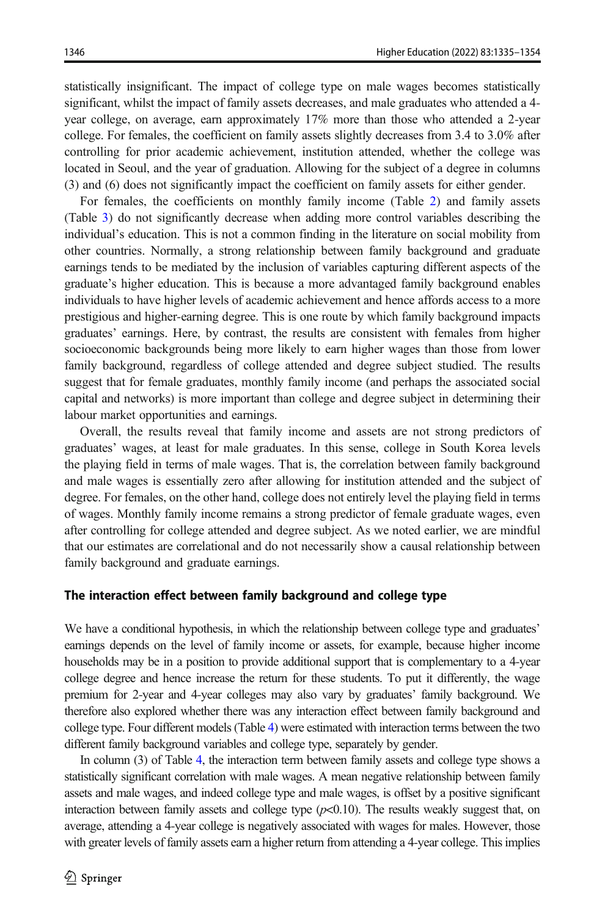statistically insignificant. The impact of college type on male wages becomes statistically significant, whilst the impact of family assets decreases, and male graduates who attended a 4 year college, on average, earn approximately 17% more than those who attended a 2-year college. For females, the coefficient on family assets slightly decreases from 3.4 to 3.0% after controlling for prior academic achievement, institution attended, whether the college was located in Seoul, and the year of graduation. Allowing for the subject of a degree in columns (3) and (6) does not significantly impact the coefficient on family assets for either gender.

For females, the coefficients on monthly family income (Table [2](#page-10-0)) and family assets (Table [3\)](#page-10-0) do not significantly decrease when adding more control variables describing the individual's education. This is not a common finding in the literature on social mobility from other countries. Normally, a strong relationship between family background and graduate earnings tends to be mediated by the inclusion of variables capturing different aspects of the graduate's higher education. This is because a more advantaged family background enables individuals to have higher levels of academic achievement and hence affords access to a more prestigious and higher-earning degree. This is one route by which family background impacts graduates' earnings. Here, by contrast, the results are consistent with females from higher socioeconomic backgrounds being more likely to earn higher wages than those from lower family background, regardless of college attended and degree subject studied. The results suggest that for female graduates, monthly family income (and perhaps the associated social capital and networks) is more important than college and degree subject in determining their labour market opportunities and earnings.

Overall, the results reveal that family income and assets are not strong predictors of graduates' wages, at least for male graduates. In this sense, college in South Korea levels the playing field in terms of male wages. That is, the correlation between family background and male wages is essentially zero after allowing for institution attended and the subject of degree. For females, on the other hand, college does not entirely level the playing field in terms of wages. Monthly family income remains a strong predictor of female graduate wages, even after controlling for college attended and degree subject. As we noted earlier, we are mindful that our estimates are correlational and do not necessarily show a causal relationship between family background and graduate earnings.

## The interaction effect between family background and college type

We have a conditional hypothesis, in which the relationship between college type and graduates' earnings depends on the level of family income or assets, for example, because higher income households may be in a position to provide additional support that is complementary to a 4-year college degree and hence increase the return for these students. To put it differently, the wage premium for 2-year and 4-year colleges may also vary by graduates' family background. We therefore also explored whether there was any interaction effect between family background and college type. Four different models (Table [4](#page-12-0)) were estimated with interaction terms between the two different family background variables and college type, separately by gender.

In column (3) of Table [4,](#page-12-0) the interaction term between family assets and college type shows a statistically significant correlation with male wages. A mean negative relationship between family assets and male wages, and indeed college type and male wages, is offset by a positive significant interaction between family assets and college type  $(p<0.10)$ . The results weakly suggest that, on average, attending a 4-year college is negatively associated with wages for males. However, those with greater levels of family assets earn a higher return from attending a 4-year college. This implies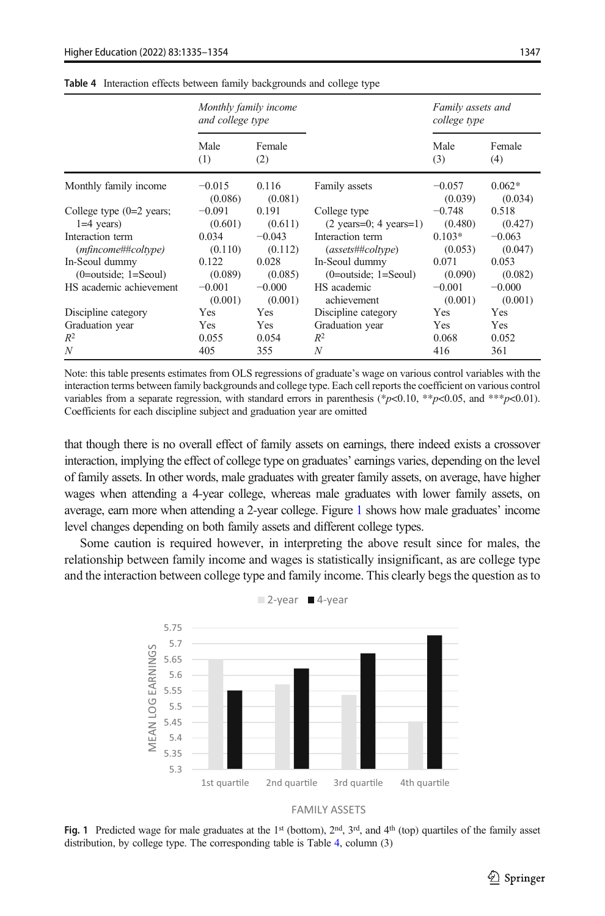|                                            | Monthly family income<br>and college type |                     |                                                          | Family assets and<br>college type |                     |
|--------------------------------------------|-------------------------------------------|---------------------|----------------------------------------------------------|-----------------------------------|---------------------|
|                                            | Male<br>(1)                               | Female<br>(2)       |                                                          | Male<br>(3)                       | Female<br>(4)       |
| Monthly family income                      | $-0.015$<br>(0.086)                       | 0.116<br>(0.081)    | Family assets                                            | $-0.057$<br>(0.039)               | $0.062*$<br>(0.034) |
| College type $(0=2$ years;<br>$1=4$ years) | $-0.091$<br>(0.601)                       | 0.191<br>(0.611)    | College type<br>$(2 \text{ years}=0; 4 \text{ years}=1)$ | $-0.748$<br>(0.480)               | 0.518<br>(0.427)    |
| Interaction term<br>$(mfincome\#Hcoltype)$ | 0.034<br>(0.110)                          | $-0.043$<br>(0.112) | Interaction term<br>(assets##coltype)                    | $0.103*$<br>(0.053)               | $-0.063$<br>(0.047) |
| In-Seoul dummy<br>$(0=outside; 1=Seoul)$   | 0.122<br>(0.089)                          | 0.028<br>(0.085)    | In-Seoul dummy<br>$(0=$ outside; $1=$ Seoul)             | 0.071<br>(0.090)                  | 0.053<br>(0.082)    |
| HS academic achievement                    | $-0.001$<br>(0.001)                       | $-0.000$<br>(0.001) | HS academic<br>achievement                               | $-0.001$<br>(0.001)               | $-0.000$<br>(0.001) |
| Discipline category                        | Yes                                       | Yes                 | Discipline category                                      | Yes                               | Yes                 |
| Graduation year                            | Yes                                       | Yes                 | Graduation year                                          | Yes                               | Yes                 |
| $R^2$                                      | 0.055                                     | 0.054               | $R^2$                                                    | 0.068                             | 0.052               |
| N                                          | 405                                       | 355                 | N                                                        | 416                               | 361                 |

<span id="page-12-0"></span>Table 4 Interaction effects between family backgrounds and college type

Note: this table presents estimates from OLS regressions of graduate's wage on various control variables with the interaction terms between family backgrounds and college type. Each cell reports the coefficient on various control variables from a separate regression, with standard errors in parenthesis (\*p<0.10, \*\*p<0.05, and \*\*\*p<0.01). Coefficients for each discipline subject and graduation year are omitted

that though there is no overall effect of family assets on earnings, there indeed exists a crossover interaction, implying the effect of college type on graduates' earnings varies, depending on the level of family assets. In other words, male graduates with greater family assets, on average, have higher wages when attending a 4-year college, whereas male graduates with lower family assets, on average, earn more when attending a 2-year college. Figure 1 shows how male graduates' income level changes depending on both family assets and different college types.

Some caution is required however, in interpreting the above result since for males, the relationship between family income and wages is statistically insignificant, as are college type and the interaction between college type and family income. This clearly begs the question as to





Fig. 1 Predicted wage for male graduates at the 1<sup>st</sup> (bottom),  $2<sup>nd</sup>$ ,  $3<sup>rd</sup>$ , and  $4<sup>th</sup>$  (top) quartiles of the family asset distribution, by college type. The corresponding table is Table 4, column (3)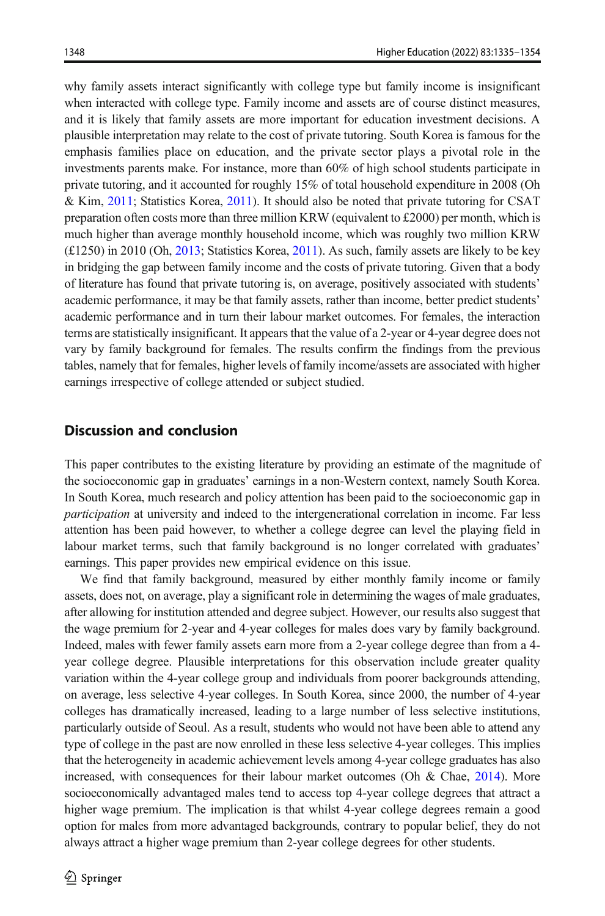why family assets interact significantly with college type but family income is insignificant when interacted with college type. Family income and assets are of course distinct measures, and it is likely that family assets are more important for education investment decisions. A plausible interpretation may relate to the cost of private tutoring. South Korea is famous for the emphasis families place on education, and the private sector plays a pivotal role in the investments parents make. For instance, more than 60% of high school students participate in private tutoring, and it accounted for roughly 15% of total household expenditure in 2008 (Oh & Kim, [2011;](#page-19-0) Statistics Korea, [2011](#page-19-0)). It should also be noted that private tutoring for CSAT preparation often costs more than three million KRW (equivalent to £2000) per month, which is much higher than average monthly household income, which was roughly two million KRW  $(£1250)$  in 2010 (Oh, [2013;](#page-19-0) Statistics Korea, [2011](#page-19-0)). As such, family assets are likely to be key in bridging the gap between family income and the costs of private tutoring. Given that a body of literature has found that private tutoring is, on average, positively associated with students' academic performance, it may be that family assets, rather than income, better predict students' academic performance and in turn their labour market outcomes. For females, the interaction terms are statistically insignificant. It appears that the value of a 2-year or 4-year degree does not vary by family background for females. The results confirm the findings from the previous tables, namely that for females, higher levels of family income/assets are associated with higher earnings irrespective of college attended or subject studied.

## Discussion and conclusion

This paper contributes to the existing literature by providing an estimate of the magnitude of the socioeconomic gap in graduates' earnings in a non-Western context, namely South Korea. In South Korea, much research and policy attention has been paid to the socioeconomic gap in participation at university and indeed to the intergenerational correlation in income. Far less attention has been paid however, to whether a college degree can level the playing field in labour market terms, such that family background is no longer correlated with graduates' earnings. This paper provides new empirical evidence on this issue.

We find that family background, measured by either monthly family income or family assets, does not, on average, play a significant role in determining the wages of male graduates, after allowing for institution attended and degree subject. However, our results also suggest that the wage premium for 2-year and 4-year colleges for males does vary by family background. Indeed, males with fewer family assets earn more from a 2-year college degree than from a 4 year college degree. Plausible interpretations for this observation include greater quality variation within the 4-year college group and individuals from poorer backgrounds attending, on average, less selective 4-year colleges. In South Korea, since 2000, the number of 4-year colleges has dramatically increased, leading to a large number of less selective institutions, particularly outside of Seoul. As a result, students who would not have been able to attend any type of college in the past are now enrolled in these less selective 4-year colleges. This implies that the heterogeneity in academic achievement levels among 4-year college graduates has also increased, with consequences for their labour market outcomes (Oh & Chae, [2014\)](#page-19-0). More socioeconomically advantaged males tend to access top 4-year college degrees that attract a higher wage premium. The implication is that whilst 4-year college degrees remain a good option for males from more advantaged backgrounds, contrary to popular belief, they do not always attract a higher wage premium than 2-year college degrees for other students.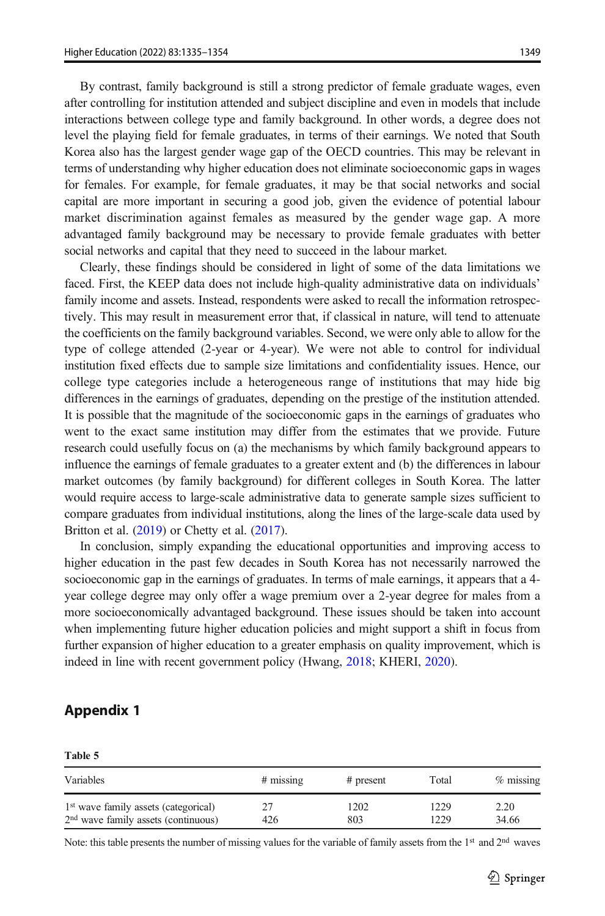<span id="page-14-0"></span>By contrast, family background is still a strong predictor of female graduate wages, even after controlling for institution attended and subject discipline and even in models that include interactions between college type and family background. In other words, a degree does not level the playing field for female graduates, in terms of their earnings. We noted that South Korea also has the largest gender wage gap of the OECD countries. This may be relevant in terms of understanding why higher education does not eliminate socioeconomic gaps in wages for females. For example, for female graduates, it may be that social networks and social capital are more important in securing a good job, given the evidence of potential labour market discrimination against females as measured by the gender wage gap. A more advantaged family background may be necessary to provide female graduates with better social networks and capital that they need to succeed in the labour market.

Clearly, these findings should be considered in light of some of the data limitations we faced. First, the KEEP data does not include high-quality administrative data on individuals' family income and assets. Instead, respondents were asked to recall the information retrospectively. This may result in measurement error that, if classical in nature, will tend to attenuate the coefficients on the family background variables. Second, we were only able to allow for the type of college attended (2-year or 4-year). We were not able to control for individual institution fixed effects due to sample size limitations and confidentiality issues. Hence, our college type categories include a heterogeneous range of institutions that may hide big differences in the earnings of graduates, depending on the prestige of the institution attended. It is possible that the magnitude of the socioeconomic gaps in the earnings of graduates who went to the exact same institution may differ from the estimates that we provide. Future research could usefully focus on (a) the mechanisms by which family background appears to influence the earnings of female graduates to a greater extent and (b) the differences in labour market outcomes (by family background) for different colleges in South Korea. The latter would require access to large-scale administrative data to generate sample sizes sufficient to compare graduates from individual institutions, along the lines of the large-scale data used by Britton et al. [\(2019\)](#page-17-0) or Chetty et al. [\(2017\)](#page-17-0).

In conclusion, simply expanding the educational opportunities and improving access to higher education in the past few decades in South Korea has not necessarily narrowed the socioeconomic gap in the earnings of graduates. In terms of male earnings, it appears that a 4 year college degree may only offer a wage premium over a 2-year degree for males from a more socioeconomically advantaged background. These issues should be taken into account when implementing future higher education policies and might support a shift in focus from further expansion of higher education to a greater emphasis on quality improvement, which is indeed in line with recent government policy (Hwang, [2018](#page-18-0); KHERI, [2020](#page-18-0)).

## Appendix 1

| Table 5                                                                                             |             |             |              |               |  |  |
|-----------------------------------------------------------------------------------------------------|-------------|-------------|--------------|---------------|--|--|
| Variables                                                                                           | $#$ missing | # present   | Total        | $%$ missing   |  |  |
| 1 <sup>st</sup> wave family assets (categorical)<br>2 <sup>nd</sup> wave family assets (continuous) | 27<br>426   | 1202<br>803 | 1229<br>1229 | 2.20<br>34.66 |  |  |

Note: this table presents the number of missing values for the variable of family assets from the 1<sup>st</sup> and 2<sup>nd</sup> waves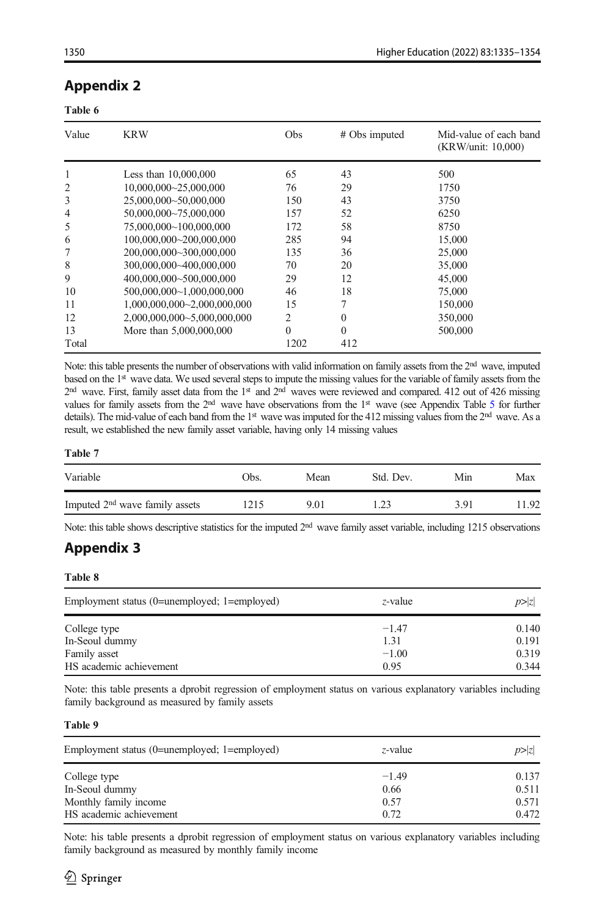## <span id="page-15-0"></span>Appendix 2

#### Table 6

| Value          | <b>KRW</b>                  | Obs      | # Obs imputed | Mid-value of each band<br>(KRW/unit: 10,000) |
|----------------|-----------------------------|----------|---------------|----------------------------------------------|
| 1              | Less than $10,000,000$      | 65       | 43            | 500                                          |
| $\overline{2}$ | 10,000,000~25,000,000       | 76       | 29            | 1750                                         |
| 3              | 25,000,000~50,000,000       | 150      | 43            | 3750                                         |
| 4              | 50,000,000~75,000,000       | 157      | 52            | 6250                                         |
| 5              | 75,000,000~100,000,000      | 172      | 58            | 8750                                         |
| 6              | 100.000.000~200.000.000     | 285      | 94            | 15,000                                       |
| 7              | 200.000.000~300.000.000     | 135      | 36            | 25,000                                       |
| 8              | 300.000.000~400.000.000     | 70       | 20            | 35,000                                       |
| 9              | 400.000.000~500.000.000     | 29       | 12            | 45,000                                       |
| 10             | 500.000.000~1.000.000.000   | 46       | 18            | 75,000                                       |
| 11             | 1,000,000,000~2,000,000,000 | 15       |               | 150,000                                      |
| 12             | 2,000,000,000~5,000,000,000 | 2        | 0             | 350,000                                      |
| 13             | More than 5,000,000,000     | $\Omega$ | $\theta$      | 500,000                                      |
| Total          |                             | 1202     | 412           |                                              |

Note: this table presents the number of observations with valid information on family assets from the 2<sup>nd</sup> wave, imputed based on the 1st wave data. We used several steps to impute the missing values for the variable of family assets from the  $2<sup>nd</sup>$  wave. First, family asset data from the 1<sup>st</sup> and  $2<sup>nd</sup>$  waves were reviewed and compared. 412 out of 426 missing values for family assets from the 2<sup>nd</sup> wave have observations from the 1<sup>st</sup> wave (see Appendix Table [5](#page-14-0) for further details). The mid-value of each band from the 1<sup>st</sup> wave was imputed for the 412 missing values from the 2<sup>nd</sup> wave. As a result, we established the new family asset variable, having only 14 missing values

#### Table 7

| Variable                                   | Obs. | Mean | Std. Dev. | Min  | Max  |
|--------------------------------------------|------|------|-----------|------|------|
| Imputed 2 <sup>nd</sup> wave family assets | .215 | 9.01 | 1.23      | 3.91 | 1.92 |

Note: this table shows descriptive statistics for the imputed  $2<sup>nd</sup>$  wave family asset variable, including 1215 observations

# Appendix 3

Table 8

| Employment status (0=unemployed; 1=employed) | z-value | p >  z |
|----------------------------------------------|---------|--------|
| College type                                 | $-1.47$ | 0.140  |
| In-Seoul dummy                               | 1.31    | 0.191  |
| Family asset                                 | $-1.00$ | 0.319  |
| HS academic achievement                      | 0.95    | 0.344  |

Note: this table presents a dprobit regression of employment status on various explanatory variables including family background as measured by family assets

#### Table 9

| Employment status (0=unemployed; 1=employed) | z-value      | p >  z         |
|----------------------------------------------|--------------|----------------|
| College type                                 | $-1.49$      | 0.137          |
| In-Seoul dummy<br>Monthly family income      | 0.66<br>0.57 | 0.511<br>0.571 |
| HS academic achievement                      | 0.72         | 0.472          |

Note: his table presents a dprobit regression of employment status on various explanatory variables including family background as measured by monthly family income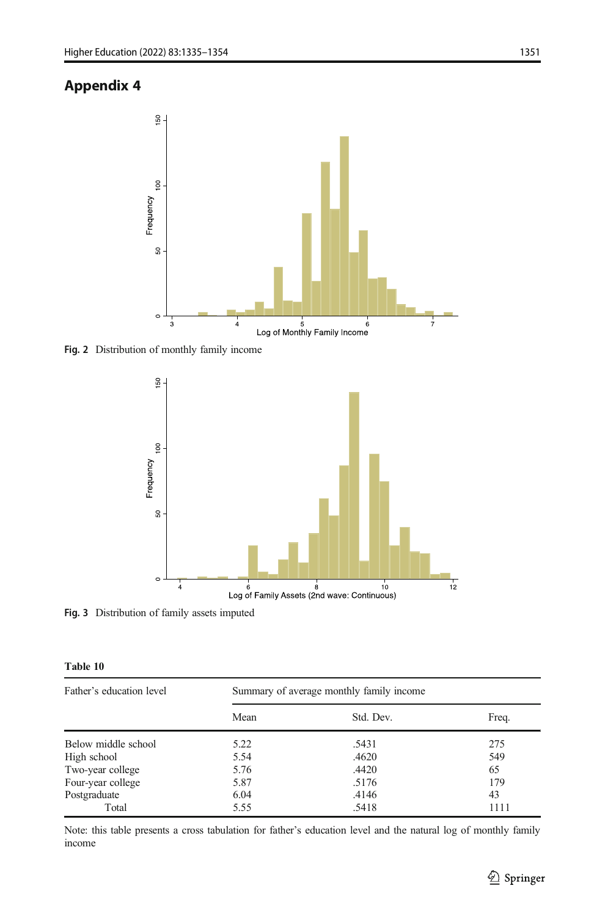# <span id="page-16-0"></span>Appendix 4



Fig. 2 Distribution of monthly family income



Fig. 3 Distribution of family assets imputed

Table 10

| Father's education level | Summary of average monthly family income |           |       |  |  |
|--------------------------|------------------------------------------|-----------|-------|--|--|
|                          | Mean                                     | Std. Dev. | Freq. |  |  |
| Below middle school      | 5.22                                     | .5431     | 275   |  |  |
| High school              | 5.54                                     | .4620     | 549   |  |  |
| Two-year college         | 5.76                                     | .4420     | 65    |  |  |
| Four-year college        | 5.87                                     | .5176     | 179   |  |  |
| Postgraduate             | 6.04                                     | .4146     | 43    |  |  |
| Total                    | 5.55                                     | .5418     | 1111  |  |  |

Note: this table presents a cross tabulation for father's education level and the natural log of monthly family income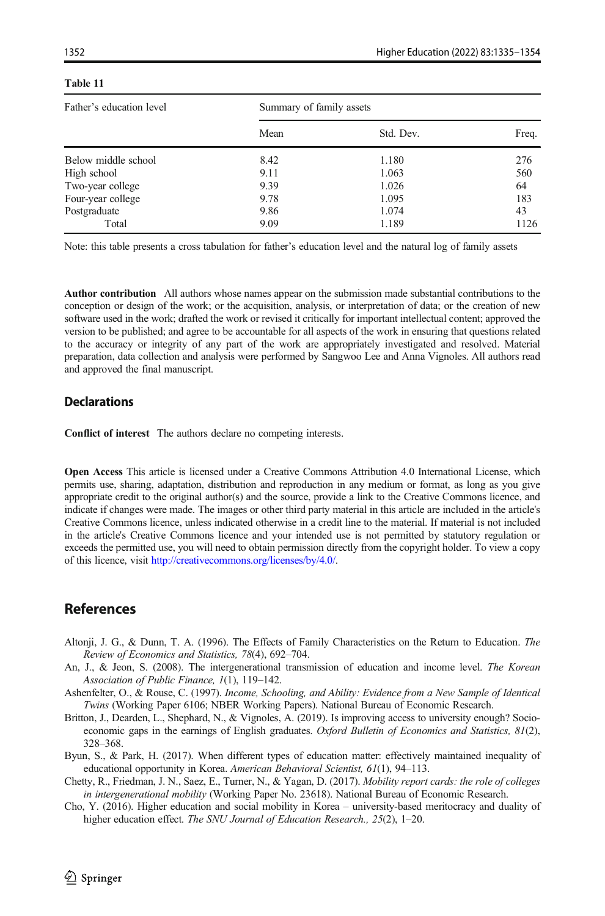| Father's education level | Summary of family assets |           |       |  |  |
|--------------------------|--------------------------|-----------|-------|--|--|
|                          | Mean                     | Std. Dev. | Freq. |  |  |
| Below middle school      | 8.42                     | 1.180     | 276   |  |  |
| High school              | 9.11                     | 1.063     | 560   |  |  |
| Two-year college         | 9.39                     | 1.026     | 64    |  |  |
| Four-year college        | 9.78                     | 1.095     | 183   |  |  |
| Postgraduate             | 9.86                     | 1.074     | 43    |  |  |
| Total                    | 9.09                     | 1.189     | 1126  |  |  |

#### <span id="page-17-0"></span>Table 11

Note: this table presents a cross tabulation for father's education level and the natural log of family assets

Author contribution All authors whose names appear on the submission made substantial contributions to the conception or design of the work; or the acquisition, analysis, or interpretation of data; or the creation of new software used in the work; drafted the work or revised it critically for important intellectual content; approved the version to be published; and agree to be accountable for all aspects of the work in ensuring that questions related to the accuracy or integrity of any part of the work are appropriately investigated and resolved. Material preparation, data collection and analysis were performed by Sangwoo Lee and Anna Vignoles. All authors read and approved the final manuscript.

## **Declarations**

Conflict of interest The authors declare no competing interests.

Open Access This article is licensed under a Creative Commons Attribution 4.0 International License, which permits use, sharing, adaptation, distribution and reproduction in any medium or format, as long as you give appropriate credit to the original author(s) and the source, provide a link to the Creative Commons licence, and indicate if changes were made. The images or other third party material in this article are included in the article's Creative Commons licence, unless indicated otherwise in a credit line to the material. If material is not included in the article's Creative Commons licence and your intended use is not permitted by statutory regulation or exceeds the permitted use, you will need to obtain permission directly from the copyright holder. To view a copy of this licence, visit [http://creativecommons.org/licenses/by/4.0/.](http://creativecommons.org/licenses/by/4.0/)

## References

- Altonji, J. G., & Dunn, T. A. (1996). The Effects of Family Characteristics on the Return to Education. The Review of Economics and Statistics, 78(4), 692–704.
- An, J., & Jeon, S. (2008). The intergenerational transmission of education and income level. The Korean Association of Public Finance, 1(1), 119–142.
- Ashenfelter, O., & Rouse, C. (1997). Income, Schooling, and Ability: Evidence from a New Sample of Identical Twins (Working Paper 6106; NBER Working Papers). National Bureau of Economic Research.
- Britton, J., Dearden, L., Shephard, N., & Vignoles, A. (2019). Is improving access to university enough? Socioeconomic gaps in the earnings of English graduates. Oxford Bulletin of Economics and Statistics, 81(2), 328–368.
- Byun, S., & Park, H. (2017). When different types of education matter: effectively maintained inequality of educational opportunity in Korea. American Behavioral Scientist, 61(1), 94-113.
- Chetty, R., Friedman, J. N., Saez, E., Turner, N., & Yagan, D. (2017). Mobility report cards: the role of colleges in intergenerational mobility (Working Paper No. 23618). National Bureau of Economic Research.
- Cho, Y. (2016). Higher education and social mobility in Korea university-based meritocracy and duality of higher education effect. The SNU Journal of Education Research., 25(2), 1-20.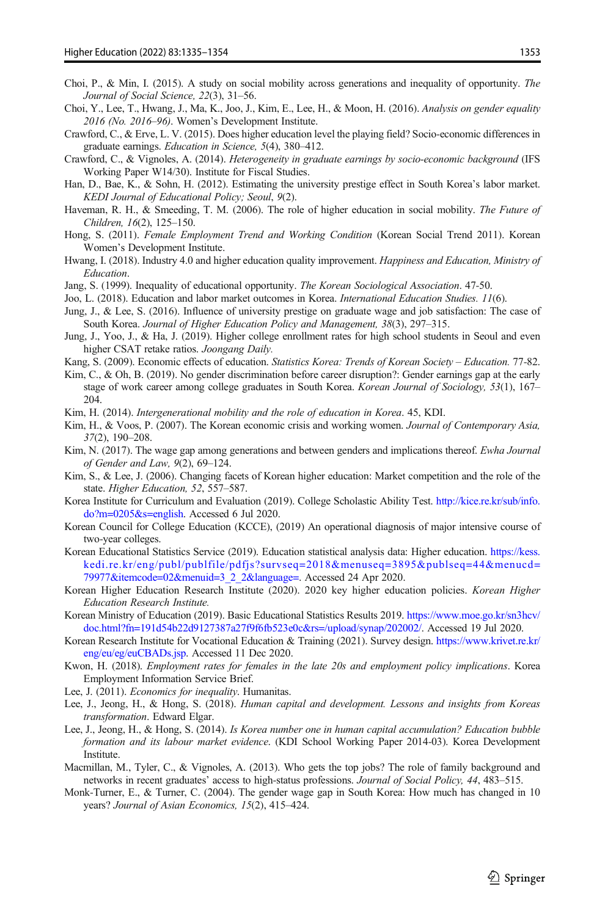- <span id="page-18-0"></span>Choi, P., & Min, I. (2015). A study on social mobility across generations and inequality of opportunity. The Journal of Social Science, 22(3), 31–56.
- Choi, Y., Lee, T., Hwang, J., Ma, K., Joo, J., Kim, E., Lee, H., & Moon, H. (2016). Analysis on gender equality 2016 (No. 2016–96). Women's Development Institute.
- Crawford, C., & Erve, L. V. (2015). Does higher education level the playing field? Socio-economic differences in graduate earnings. Education in Science, 5(4), 380–412.
- Crawford, C., & Vignoles, A. (2014). Heterogeneity in graduate earnings by socio-economic background (IFS Working Paper W14/30). Institute for Fiscal Studies.
- Han, D., Bae, K., & Sohn, H. (2012). Estimating the university prestige effect in South Korea's labor market. KEDI Journal of Educational Policy; Seoul, 9(2).
- Haveman, R. H., & Smeeding, T. M. (2006). The role of higher education in social mobility. The Future of Children, 16(2), 125–150.
- Hong, S. (2011). Female Employment Trend and Working Condition (Korean Social Trend 2011). Korean Women's Development Institute.
- Hwang, I. (2018). Industry 4.0 and higher education quality improvement. Happiness and Education, Ministry of Education.
- Jang, S. (1999). Inequality of educational opportunity. *The Korean Sociological Association*. 47-50.
- Joo, L. (2018). Education and labor market outcomes in Korea. *International Education Studies.* 11(6).
- Jung, J., & Lee, S. (2016). Influence of university prestige on graduate wage and job satisfaction: The case of South Korea. Journal of Higher Education Policy and Management, 38(3), 297–315.
- Jung, J., Yoo, J., & Ha, J. (2019). Higher college enrollment rates for high school students in Seoul and even higher CSAT retake ratios. Joongang Daily.
- Kang, S. (2009). Economic effects of education. Statistics Korea: Trends of Korean Society Education. 77-82.
- Kim, C., & Oh, B. (2019). No gender discrimination before career disruption?: Gender earnings gap at the early stage of work career among college graduates in South Korea. Korean Journal of Sociology, 53(1), 167– 204.
- Kim, H. (2014). Intergenerational mobility and the role of education in Korea. 45, KDI.
- Kim, H., & Voos, P. (2007). The Korean economic crisis and working women. Journal of Contemporary Asia, 37(2), 190–208.
- Kim, N. (2017). The wage gap among generations and between genders and implications thereof. *Ewha Journal* of Gender and Law, 9(2), 69–124.
- Kim, S., & Lee, J. (2006). Changing facets of Korean higher education: Market competition and the role of the state. Higher Education, 52, 557–587.
- Korea Institute for Curriculum and Evaluation (2019). College Scholastic Ability Test. [http://kice.re.kr/sub/info.](http://kice.re.kr/sub/info.do?m=0205&s=english) [do?m=0205&s=english](http://kice.re.kr/sub/info.do?m=0205&s=english). Accessed 6 Jul 2020.
- Korean Council for College Education (KCCE), (2019) An operational diagnosis of major intensive course of two-year colleges.
- Korean Educational Statistics Service (2019). Education statistical analysis data: Higher education. [https://kess.](https://kess.kedi.re.kr/eng/publ/publFile/pdfjs?survSeq=2018&menuSeq=3895&publSeq=44&menuCd=79977&itemCode=02&menuId=3_2_2&language=) [kedi.re.kr/eng/publ/publfile/pdfjs?survseq=2018&menuseq=3895&publseq=44&menucd=](https://kess.kedi.re.kr/eng/publ/publFile/pdfjs?survSeq=2018&menuSeq=3895&publSeq=44&menuCd=79977&itemCode=02&menuId=3_2_2&language=) [79977&itemcode=02&menuid=3\\_2\\_2&language=](https://kess.kedi.re.kr/eng/publ/publFile/pdfjs?survSeq=2018&menuSeq=3895&publSeq=44&menuCd=79977&itemCode=02&menuId=3_2_2&language=). Accessed 24 Apr 2020.
- Korean Higher Education Research Institute (2020). 2020 key higher education policies. Korean Higher Education Research Institute.
- Korean Ministry of Education (2019). Basic Educational Statistics Results 2019. [https://www.moe.go.kr/sn3hcv/](https://www.moe.go.kr/sn3hcv/doc.html?fn=191d54b22d9127387a27f9f6fb523e0c&rs=/upload/synap/202002/) [doc.html?fn=191d54b22d9127387a27f9f6fb523e0c&rs=/upload/synap/202002/](https://www.moe.go.kr/sn3hcv/doc.html?fn=191d54b22d9127387a27f9f6fb523e0c&rs=/upload/synap/202002/). Accessed 19 Jul 2020.
- Korean Research Institute for Vocational Education & Training (2021). Survey design. [https://www.krivet.re.kr/](https://www.krivet.re.kr/eng/eu/eg/euCBADs.jsp) [eng/eu/eg/euCBADs.jsp](https://www.krivet.re.kr/eng/eu/eg/euCBADs.jsp). Accessed 11 Dec 2020.
- Kwon, H. (2018). Employment rates for females in the late 20s and employment policy implications. Korea Employment Information Service Brief.
- Lee, J. (2011). Economics for inequality. Humanitas.
- Lee, J., Jeong, H., & Hong, S. (2018). Human capital and development. Lessons and insights from Koreas transformation. Edward Elgar.
- Lee, J., Jeong, H., & Hong, S. (2014). Is Korea number one in human capital accumulation? Education bubble formation and its labour market evidence. (KDI School Working Paper 2014-03). Korea Development **Institute**.
- Macmillan, M., Tyler, C., & Vignoles, A. (2013). Who gets the top jobs? The role of family background and networks in recent graduates' access to high-status professions. Journal of Social Policy, 44, 483–515.
- Monk-Turner, E., & Turner, C. (2004). The gender wage gap in South Korea: How much has changed in 10 years? Journal of Asian Economics, 15(2), 415–424.